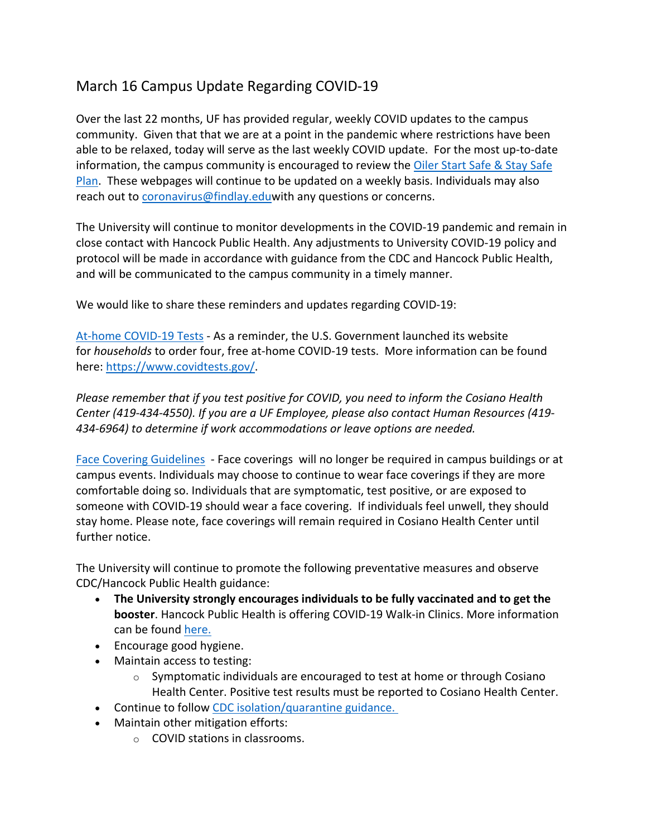## March 16 Campus Update Regarding COVID-19

Over the last 22 months, UF has provided regular, weekly COVID updates to the campus community. Given that that we are at a point in the pandemic where restrictions have been able to be relaxed, today will serve as the last weekly COVID update. For the most up-to-date information, the campus community is encouraged to review the Oiler Start Safe & Stay Safe Plan. These webpages will continue to be updated on a weekly basis. Individuals may also reach out to coronavirus@findlay.eduwith any questions or concerns.

The University will continue to monitor developments in the COVID-19 pandemic and remain in close contact with Hancock Public Health. Any adjustments to University COVID-19 policy and protocol will be made in accordance with guidance from the CDC and Hancock Public Health, and will be communicated to the campus community in a timely manner.

We would like to share these reminders and updates regarding COVID-19:

At-home COVID-19 Tests - As a reminder, the U.S. Government launched its website for *households* to order four, free at-home COVID-19 tests. More information can be found here: https://www.covidtests.gov/.

*Please remember that if you test positive for COVID, you need to inform the Cosiano Health Center (419-434-4550). If you are a UF Employee, please also contact Human Resources (419- 434-6964) to determine if work accommodations or leave options are needed.*

Face Covering Guidelines - Face coverings will no longer be required in campus buildings or at campus events. Individuals may choose to continue to wear face coverings if they are more comfortable doing so. Individuals that are symptomatic, test positive, or are exposed to someone with COVID-19 should wear a face covering. If individuals feel unwell, they should stay home. Please note, face coverings will remain required in Cosiano Health Center until further notice.

The University will continue to promote the following preventative measures and observe CDC/Hancock Public Health guidance:

- **The University strongly encourages individuals to be fully vaccinated and to get the booster**. Hancock Public Health is offering COVID-19 Walk-in Clinics. More information can be found here.
- Encourage good hygiene.
- Maintain access to testing:
	- $\circ$  Symptomatic individuals are encouraged to test at home or through Cosiano Health Center. Positive test results must be reported to Cosiano Health Center.
- Continue to follow CDC isolation/quarantine guidance.
- Maintain other mitigation efforts:
	- o COVID stations in classrooms.